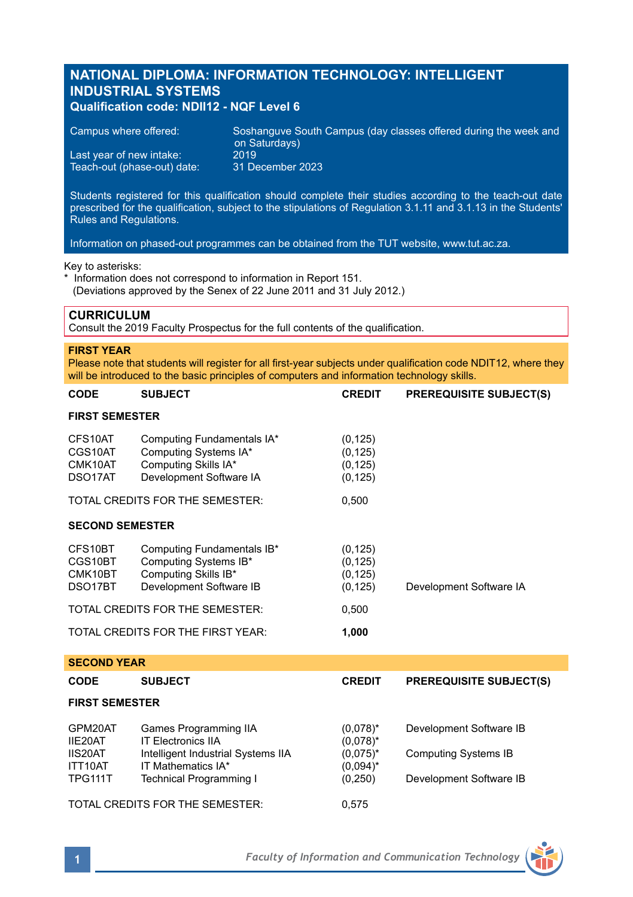# **NATIONAL DIPLOMA: INFORMATION TECHNOLOGY: INTELLIGENT INDUSTRIAL SYSTEMS Qualification code: NDII12 - NQF Level 6**

| Campus where offered:       | Soshanguve South Campus (day classes offered during the week and<br>on Saturdays) |
|-----------------------------|-----------------------------------------------------------------------------------|
| Last year of new intake:    | 2019                                                                              |
| Teach-out (phase-out) date: | 31 December 2023                                                                  |

Students registered for this qualification should complete their studies according to the teach-out date prescribed for the qualification, subject to the stipulations of Regulation 3.1.11 and 3.1.13 in the Students' Rules and Regulations.

Information on phased-out programmes can be obtained from the TUT website, www.tut.ac.za.

Key to asterisks:

\* Information does not correspond to information in Report 151. (Deviations approved by the Senex of 22 June 2011 and 31 July 2012.)

# **CURRICULUM**

Consult the 2019 Faculty Prospectus for the full contents of the qualification.

## **FIRST YEAR**

Please note that students will register for all first-year subjects under qualification code NDIT12, where they will be introduced to the basic principles of computers and information technology skills.

| <b>CODE</b>                                           | <b>SUBJECT</b>                                                                                                 | <b>CREDIT</b>                                            | <b>PREREQUISITE SUBJECT(S)</b>                         |  |  |
|-------------------------------------------------------|----------------------------------------------------------------------------------------------------------------|----------------------------------------------------------|--------------------------------------------------------|--|--|
| <b>FIRST SEMESTER</b>                                 |                                                                                                                |                                                          |                                                        |  |  |
| CFS10AT<br>CGS10AT<br>CMK10AT<br>DSO <sub>17</sub> AT | Computing Fundamentals IA*<br>Computing Systems IA*<br>Computing Skills IA*<br>Development Software IA         | (0, 125)<br>(0, 125)<br>(0, 125)<br>(0, 125)             |                                                        |  |  |
| TOTAL CREDITS FOR THE SEMESTER:                       |                                                                                                                | 0,500                                                    |                                                        |  |  |
| <b>SECOND SEMESTER</b>                                |                                                                                                                |                                                          |                                                        |  |  |
| CFS10BT<br>CGS10BT<br>CMK10BT<br>DSO17BT              | Computing Fundamentals IB*<br>Computing Systems IB*<br>Computing Skills IB*<br>Development Software IB         | (0, 125)<br>(0, 125)<br>(0, 125)<br>(0, 125)             | Development Software IA                                |  |  |
| TOTAL CREDITS FOR THE SEMESTER:<br>0,500              |                                                                                                                |                                                          |                                                        |  |  |
|                                                       | TOTAL CREDITS FOR THE FIRST YEAR:                                                                              | 1,000                                                    |                                                        |  |  |
| <b>SECOND YEAR</b>                                    |                                                                                                                |                                                          |                                                        |  |  |
| <b>CODE</b>                                           | <b>SUBJECT</b>                                                                                                 | <b>CREDIT</b>                                            | <b>PREREQUISITE SUBJECT(S)</b>                         |  |  |
| <b>FIRST SEMESTER</b>                                 |                                                                                                                |                                                          |                                                        |  |  |
| GPM20AT<br>IIE20AT<br>IIS20AT<br>ITT10AT              | Games Programming IIA<br><b>IT Flectronics IIA</b><br>Intelligent Industrial Systems IIA<br>IT Mathematics IA* | $(0.078)^*$<br>$(0,078)^*$<br>$(0.075)^*$<br>$(0.094)^*$ | Development Software IB<br><b>Computing Systems IB</b> |  |  |
| TPG111T                                               | <b>Technical Programming I</b>                                                                                 | (0, 250)                                                 | Development Software IB                                |  |  |

TOTAL CREDITS FOR THE SEMESTER: 0,575

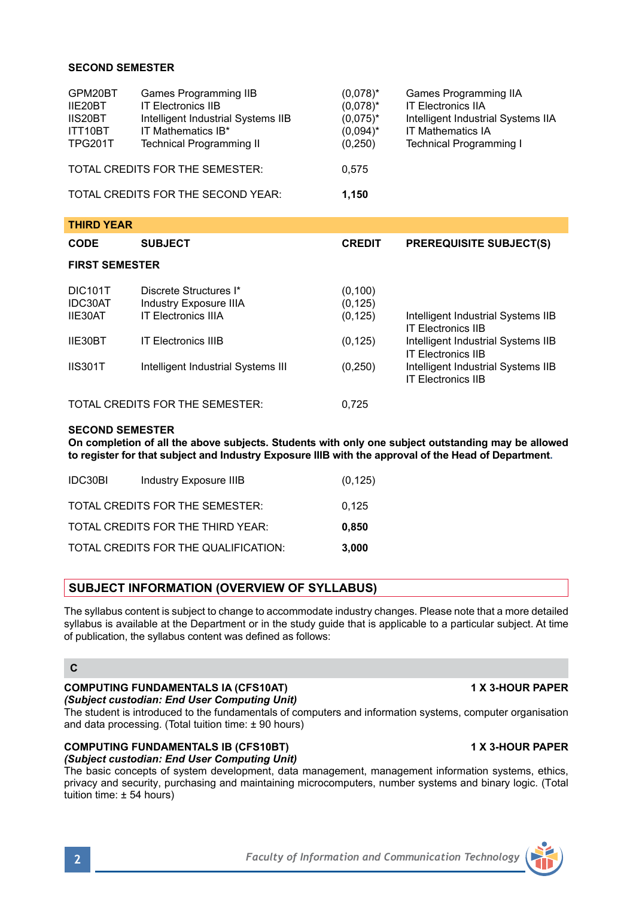## **SECOND SEMESTER**

| GPM20BT<br>IIE20BT<br>IIS20BT<br>ITT10BT<br><b>TPG201T</b> | Games Programming IIB<br><b>IT Electronics IIB</b><br>Intelligent Industrial Systems IIB<br>IT Mathematics IB*<br>Technical Programming II | $(0.078)^*$<br>$(0.078)^*$<br>$(0.075)^*$<br>$(0.094)^*$<br>(0,250) | Games Programming IIA<br><b>IT Electronics IIA</b><br>Intelligent Industrial Systems IIA<br><b>IT Mathematics IA</b><br><b>Technical Programming I</b> |
|------------------------------------------------------------|--------------------------------------------------------------------------------------------------------------------------------------------|---------------------------------------------------------------------|--------------------------------------------------------------------------------------------------------------------------------------------------------|
| TOTAL CREDITS FOR THE SEMESTER:                            |                                                                                                                                            | 0.575                                                               |                                                                                                                                                        |
| TOTAL CREDITS FOR THE SECOND YEAR:                         |                                                                                                                                            | 1.150                                                               |                                                                                                                                                        |
|                                                            |                                                                                                                                            |                                                                     |                                                                                                                                                        |

| <b>THIRD YEAR</b>                    |                                                                                |                                  |                                                                 |  |
|--------------------------------------|--------------------------------------------------------------------------------|----------------------------------|-----------------------------------------------------------------|--|
| <b>CODE</b>                          | <b>SUBJECT</b>                                                                 | <b>CREDIT</b>                    | <b>PREREQUISITE SUBJECT(S)</b>                                  |  |
| <b>FIRST SEMESTER</b>                |                                                                                |                                  |                                                                 |  |
| <b>DIC101T</b><br>IDC30AT<br>IIE30AT | Discrete Structures I*<br>Industry Exposure IIIA<br><b>IT Electronics IIIA</b> | (0, 100)<br>(0, 125)<br>(0, 125) | Intelligent Industrial Systems IIB<br><b>IT Flectronics IIB</b> |  |
| IIE30BT                              | <b>IT Electronics IIIB</b>                                                     | (0, 125)                         | Intelligent Industrial Systems IIB<br><b>IT Flectronics IIB</b> |  |
| <b>IIS301T</b>                       | Intelligent Industrial Systems III                                             | (0, 250)                         | Intelligent Industrial Systems IIB<br><b>IT Electronics IIB</b> |  |
|                                      | TOTAL CREDITS FOR THE SEMESTER:                                                | 0.725                            |                                                                 |  |

### **SECOND SEMESTER**

**On completion of all the above subjects. Students with only one subject outstanding may be allowed to register for that subject and Industry Exposure IIIB with the approval of the Head of Department.**

| IDC30BI | Industry Exposure IIIB               | (0, 125) |
|---------|--------------------------------------|----------|
|         | TOTAL CREDITS FOR THE SEMESTER:      | 0.125    |
|         | TOTAL CREDITS FOR THE THIRD YEAR:    | 0.850    |
|         | TOTAL CREDITS FOR THE QUALIFICATION: | 3.000    |

## **SUBJECT INFORMATION (OVERVIEW OF SYLLABUS)**

The syllabus content is subject to change to accommodate industry changes. Please note that a more detailed syllabus is available at the Department or in the study guide that is applicable to a particular subject. At time of publication, the syllabus content was defined as follows:

### **C**

## **COMPUTING FUNDAMENTALS IA (CFS10AT) 1 X 3-HOUR PAPER**

*(Subject custodian: End User Computing Unit)*

The student is introduced to the fundamentals of computers and information systems, computer organisation and data processing. (Total tuition time: ± 90 hours)

## **COMPUTING FUNDAMENTALS IB (CFS10BT) 1 X 3-HOUR PAPER**

*(Subject custodian: End User Computing Unit)*

The basic concepts of system development, data management, management information systems, ethics, privacy and security, purchasing and maintaining microcomputers, number systems and binary logic. (Total tuition time: ± 54 hours)

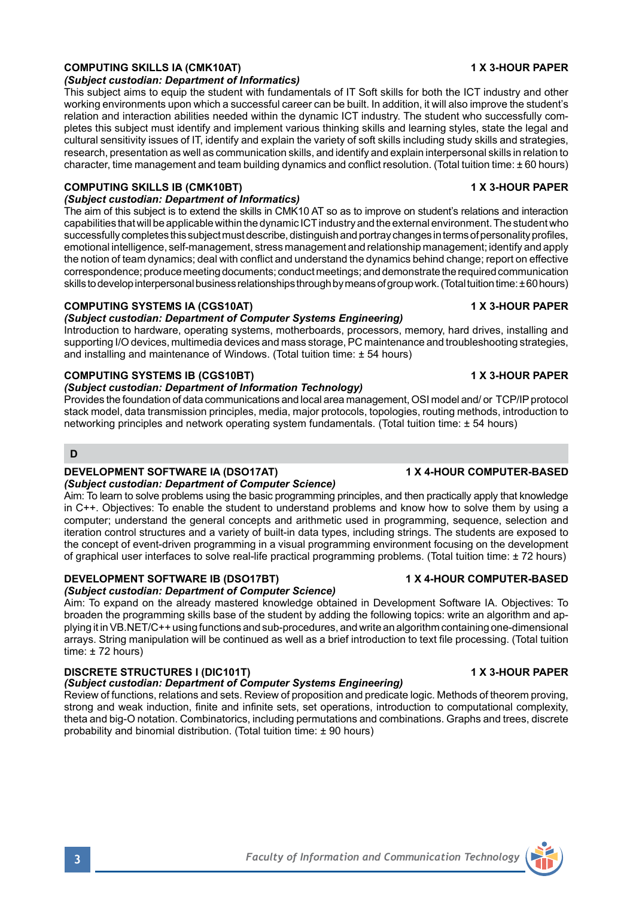## **COMPUTING SKILLS IA (CMK10AT) 1 X 3-HOUR PAPER**

### *(Subject custodian: Department of Informatics)*

This subject aims to equip the student with fundamentals of IT Soft skills for both the ICT industry and other working environments upon which a successful career can be built. In addition, it will also improve the student's relation and interaction abilities needed within the dynamic ICT industry. The student who successfully completes this subject must identify and implement various thinking skills and learning styles, state the legal and cultural sensitivity issues of IT, identify and explain the variety of soft skills including study skills and strategies, research, presentation as well as communication skills, and identify and explain interpersonal skills in relation to character, time management and team building dynamics and conflict resolution. (Total tuition time: ± 60 hours)

## **COMPUTING SKILLS IB (CMK10BT) 1 X 3-HOUR PAPER**

*(Subject custodian: Department of Informatics)*

The aim of this subject is to extend the skills in CMK10 AT so as to improve on student's relations and interaction capabilities that will be applicable within the dynamic ICT industry and the external environment. The student who successfully completes this subject must describe, distinguish and portray changes in terms of personality profiles, emotional intelligence, self-management, stress management and relationship management; identify and apply the notion of team dynamics; deal with conflict and understand the dynamics behind change; report on effective correspondence; produce meeting documents; conduct meetings; and demonstrate the required communication skills to develop interpersonal business relationships through by means of group work. (Total tuition time: ± 60 hours)

## **COMPUTING SYSTEMS IA (CGS10AT) 1 X 3-HOUR PAPER**

### *(Subject custodian: Department of Computer Systems Engineering)*

Introduction to hardware, operating systems, motherboards, processors, memory, hard drives, installing and supporting I/O devices, multimedia devices and mass storage, PC maintenance and troubleshooting strategies, and installing and maintenance of Windows. (Total tuition time: ± 54 hours)

## **COMPUTING SYSTEMS IB (CGS10BT) 1 X 3-HOUR PAPER**

## *(Subject custodian: Department of Information Technology)*

Provides the foundation of data communications and local area management, OSI model and/ or TCP/IP protocol stack model, data transmission principles, media, major protocols, topologies, routing methods, introduction to networking principles and network operating system fundamentals. (Total tuition time: ± 54 hours)

## **D**

## **DEVELOPMENT SOFTWARE IA (DSO17AT) 1 MILLET 1 X 4-HOUR COMPUTER-BASED**

## *(Subject custodian: Department of Computer Science)*

Aim: To learn to solve problems using the basic programming principles, and then practically apply that knowledge in C++. Objectives: To enable the student to understand problems and know how to solve them by using a computer; understand the general concepts and arithmetic used in programming, sequence, selection and iteration control structures and a variety of built-in data types, including strings. The students are exposed to the concept of event-driven programming in a visual programming environment focusing on the development of graphical user interfaces to solve real-life practical programming problems. (Total tuition time: ± 72 hours)

# **DEVELOPMENT SOFTWARE IB (DSO17BT) 1 X 4-HOUR COMPUTER-BASED**

# *(Subject custodian: Department of Computer Science)*

Aim: To expand on the already mastered knowledge obtained in Development Software IA. Objectives: To broaden the programming skills base of the student by adding the following topics: write an algorithm and applying it in VB.NET/C++ using functions and sub-procedures, and write an algorithm containing one-dimensional arrays. String manipulation will be continued as well as a brief introduction to text file processing. (Total tuition time: ± 72 hours)

### **DISCRETE STRUCTURES I (DIC101T) 1 X 3-HOUR PAPER** *(Subject custodian: Department of Computer Systems Engineering)*

Review of functions, relations and sets. Review of proposition and predicate logic. Methods of theorem proving, strong and weak induction, finite and infinite sets, set operations, introduction to computational complexity, theta and big-O notation. Combinatorics, including permutations and combinations. Graphs and trees, discrete probability and binomial distribution. (Total tuition time: ± 90 hours)

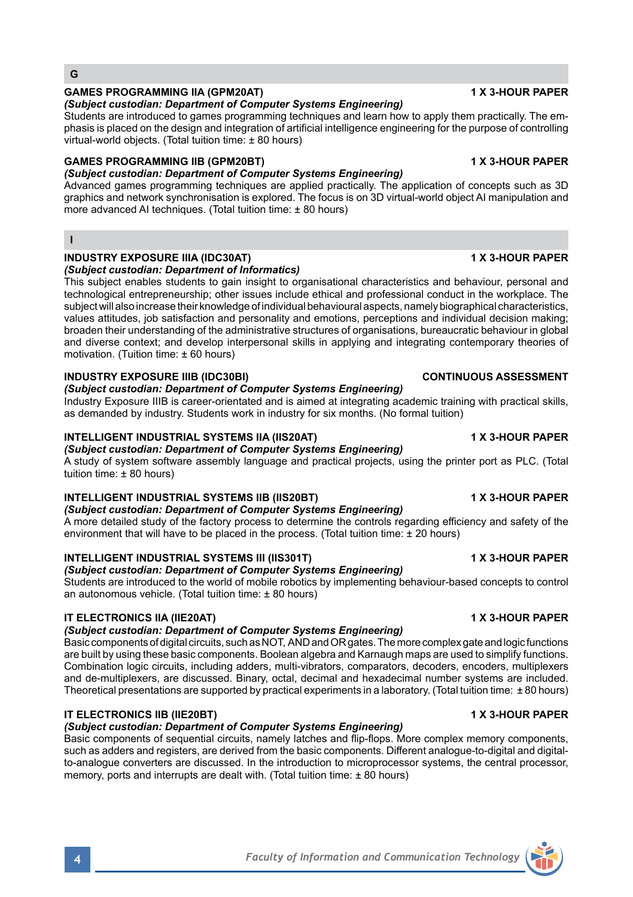# **GAMES PROGRAMMING IIA (GPM20AT) 1 X 3-HOUR PAPER**

# *(Subject custodian: Department of Computer Systems Engineering)*

Students are introduced to games programming techniques and learn how to apply them practically. The emphasis is placed on the design and integration of artificial intelligence engineering for the purpose of controlling virtual-world objects. (Total tuition time: ± 80 hours)

# **GAMES PROGRAMMING IIB (GPM20BT) 1 X 3-HOUR PAPER**

*(Subject custodian: Department of Computer Systems Engineering)*

Advanced games programming techniques are applied practically. The application of concepts such as 3D graphics and network synchronisation is explored. The focus is on 3D virtual-world object AI manipulation and more advanced AI techniques. (Total tuition time: ± 80 hours)

## **I**

### **INDUSTRY EXPOSURE IIIA (IDC30AT) 1 X 3-HOUR PAPER**  *(Subject custodian: Department of Informatics)*

This subject enables students to gain insight to organisational characteristics and behaviour, personal and technological entrepreneurship; other issues include ethical and professional conduct in the workplace. The subject will also increase their knowledge of individual behavioural aspects, namely biographical characteristics, values attitudes, job satisfaction and personality and emotions, perceptions and individual decision making; broaden their understanding of the administrative structures of organisations, bureaucratic behaviour in global and diverse context; and develop interpersonal skills in applying and integrating contemporary theories of motivation. (Tuition time: ± 60 hours)

# **INDUSTRY EXPOSURE IIIB (IDC30BI) CONTINUOUS ASSESSMENT**

*(Subject custodian: Department of Computer Systems Engineering)* Industry Exposure IIIB is career-orientated and is aimed at integrating academic training with practical skills, as demanded by industry. Students work in industry for six months. (No formal tuition)

# **INTELLIGENT INDUSTRIAL SYSTEMS IIA (IIS20AT) 1 X 3-HOUR PAPER**

# *(Subject custodian: Department of Computer Systems Engineering)*

A study of system software assembly language and practical projects, using the printer port as PLC. (Total tuition time: ± 80 hours)

# **INTELLIGENT INDUSTRIAL SYSTEMS IIB (IIS20BT) 1 X 3-HOUR PAPER**

*(Subject custodian: Department of Computer Systems Engineering)*

A more detailed study of the factory process to determine the controls regarding efficiency and safety of the environment that will have to be placed in the process. (Total tuition time: ± 20 hours)

# **INTELLIGENT INDUSTRIAL SYSTEMS III (IIS301T) 1 X 3-HOUR PAPER**

# *(Subject custodian: Department of Computer Systems Engineering)*

Students are introduced to the world of mobile robotics by implementing behaviour-based concepts to control an autonomous vehicle. (Total tuition time: ± 80 hours)

# **IT ELECTRONICS IIA (IIE20AT) 1 X 3-HOUR PAPER**

# *(Subject custodian: Department of Computer Systems Engineering)*

Basic components of digital circuits, such as NOT, AND and OR gates. The more complex gate and logic functions are built by using these basic components. Boolean algebra and Karnaugh maps are used to simplify functions. Combination logic circuits, including adders, multi-vibrators, comparators, decoders, encoders, multiplexers and de-multiplexers, are discussed. Binary, octal, decimal and hexadecimal number systems are included. Theoretical presentations are supported by practical experiments in a laboratory. (Total tuition time: ± 80 hours)

# **IT ELECTRONICS IIB (IIE20BT) 1 X 3-HOUR PAPER**

# *(Subject custodian: Department of Computer Systems Engineering)*

Basic components of sequential circuits, namely latches and flip-flops. More complex memory components, such as adders and registers, are derived from the basic components. Different analogue-to-digital and digitalto-analogue converters are discussed. In the introduction to microprocessor systems, the central processor, memory, ports and interrupts are dealt with. (Total tuition time:  $\pm 80$  hours)